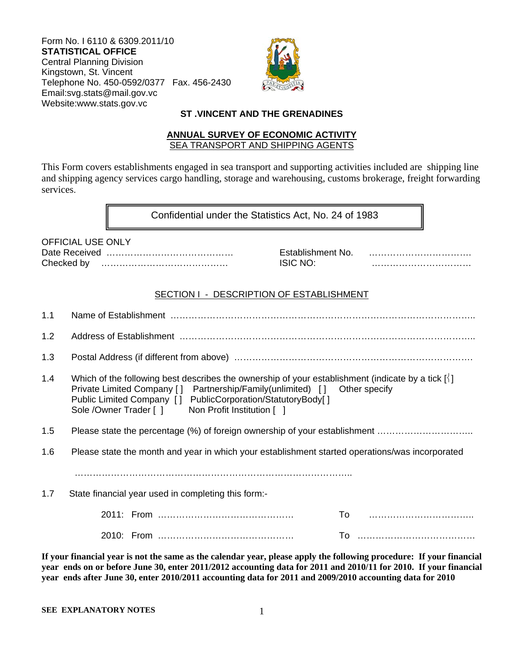Form No. I 6110 & 6309.2011/10 **STATISTICAL OFFICE**  Central Planning Division Kingstown, St. Vincent Telephone No. 450-0592/0377 Fax. 456-2430 Email:svg.stats@mail.gov.vc Website:www.stats.gov.vc



### **ST .VINCENT AND THE GRENADINES**

#### **ANNUAL SURVEY OF ECONOMIC ACTIVITY**  SEA TRANSPORT AND SHIPPING AGENTS

This Form covers establishments engaged in sea transport and supporting activities included are shipping line and shipping agency services cargo handling, storage and warehousing, customs brokerage, freight forwarding services.

Confidential under the Statistics Act, No. 24 of 1983

| <b>OFFICIAL USE ONLY</b> |  |
|--------------------------|--|
|                          |  |
|                          |  |

Date Received …………………………………… Establishment No. ……………………………. Checked by …………………………………… ISIC NO: ……………………………

### SECTION I - DESCRIPTION OF ESTABLISHMENT

| 1.1 |                                                                                                                                                                                                                                                                                                                       |
|-----|-----------------------------------------------------------------------------------------------------------------------------------------------------------------------------------------------------------------------------------------------------------------------------------------------------------------------|
| 1.2 |                                                                                                                                                                                                                                                                                                                       |
| 1.3 |                                                                                                                                                                                                                                                                                                                       |
| 1.4 | Which of the following best describes the ownership of your establishment (indicate by a tick $\lceil \cdot \rceil$ )<br>Private Limited Company [] Partnership/Family(unlimited) [] Other specify<br>Public Limited Company [] PublicCorporation/StatutoryBody[]<br>Sole / Owner Trader [] Non Profit Institution [] |
| 1.5 | Please state the percentage (%) of foreign ownership of your establishment                                                                                                                                                                                                                                            |
| 1.6 | Please state the month and year in which your establishment started operations/was incorporated                                                                                                                                                                                                                       |
|     |                                                                                                                                                                                                                                                                                                                       |
| 1.7 | State financial year used in completing this form:-                                                                                                                                                                                                                                                                   |
|     | To                                                                                                                                                                                                                                                                                                                    |
|     |                                                                                                                                                                                                                                                                                                                       |
|     |                                                                                                                                                                                                                                                                                                                       |

**If your financial year is not the same as the calendar year, please apply the following procedure: If your financial year ends on or before June 30, enter 2011/2012 accounting data for 2011 and 2010/11 for 2010. If your financial year ends after June 30, enter 2010/2011 accounting data for 2011 and 2009/2010 accounting data for 2010**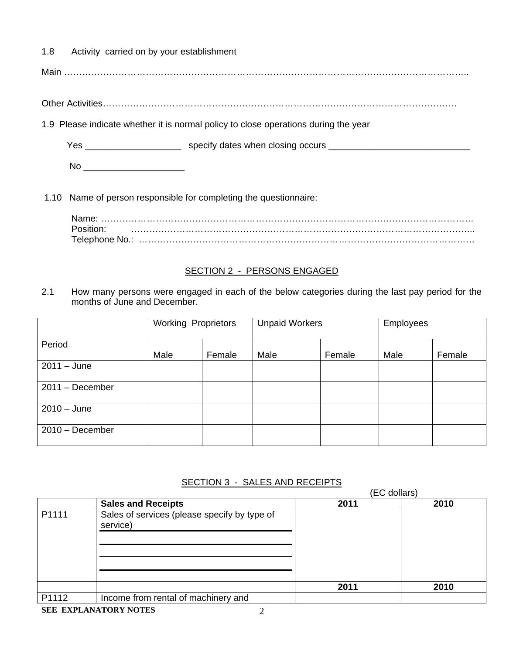1.8 Activity carried on by your establishment

Main ……………………………………………………………………………………………………………………..

Other Activities………………………………………………………………………………………………………

1.9 Please indicate whether it is normal policy to close operations during the year

Yes \_\_\_\_\_\_\_\_\_\_\_\_\_\_\_\_\_\_\_\_\_\_\_\_\_\_\_ specify dates when closing occurs \_\_\_\_\_\_\_\_\_\_\_\_\_\_\_\_\_\_\_\_\_\_\_\_\_\_\_\_\_\_\_\_\_\_

No \_\_\_\_\_\_\_\_\_\_\_\_\_\_\_\_\_\_\_\_

1.10 Name of person responsible for completing the questionnaire:

Name: …………………………………………………………………………………………………………… Position: …………………………………………………………………………………………………... Telephone No.: …………………………………………………………………………………………………

### SECTION 2 - PERSONS ENGAGED

2.1 How many persons were engaged in each of the below categories during the last pay period for the months of June and December.

|                   | <b>Working Proprietors</b> |        | <b>Unpaid Workers</b> |        | Employees |        |
|-------------------|----------------------------|--------|-----------------------|--------|-----------|--------|
| Period            | Male                       | Female | Male                  | Female | Male      | Female |
| $2011 - June$     |                            |        |                       |        |           |        |
| $2011 - December$ |                            |        |                       |        |           |        |
| $2010 - June$     |                            |        |                       |        |           |        |
| $2010 - December$ |                            |        |                       |        |           |        |

### SECTION 3 - SALES AND RECEIPTS

|       |                                                          |      | (EC dollars) |
|-------|----------------------------------------------------------|------|--------------|
|       | <b>Sales and Receipts</b>                                | 2011 | 2010         |
| P1111 | Sales of services (please specify by type of<br>service) |      |              |
|       |                                                          | 2011 | 2010         |
| P1112 | Income from rental of machinery and                      |      |              |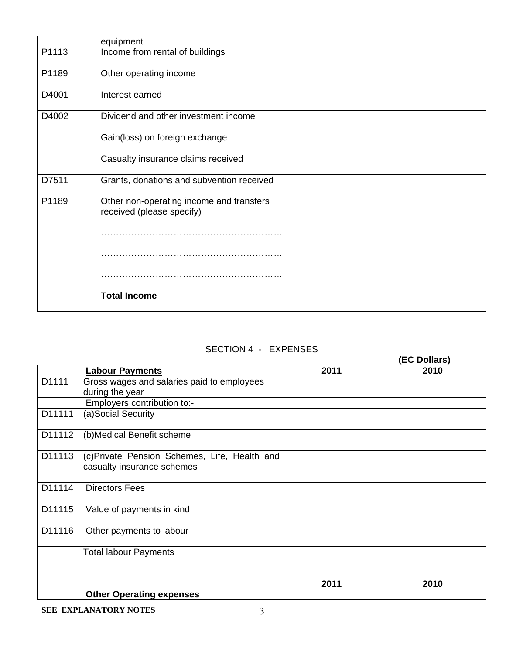|       | equipment                                                             |  |
|-------|-----------------------------------------------------------------------|--|
| P1113 | Income from rental of buildings                                       |  |
| P1189 | Other operating income                                                |  |
| D4001 | Interest earned                                                       |  |
| D4002 | Dividend and other investment income                                  |  |
|       | Gain(loss) on foreign exchange                                        |  |
|       | Casualty insurance claims received                                    |  |
| D7511 | Grants, donations and subvention received                             |  |
| P1189 | Other non-operating income and transfers<br>received (please specify) |  |
|       |                                                                       |  |
|       |                                                                       |  |
|       |                                                                       |  |
|       | <b>Total Income</b>                                                   |  |

# SECTION 4 - EXPENSES

|        |                                                                             |      | (EC Dollars) |
|--------|-----------------------------------------------------------------------------|------|--------------|
|        | <b>Labour Payments</b>                                                      | 2011 | 2010         |
| D1111  | Gross wages and salaries paid to employees                                  |      |              |
|        | during the year                                                             |      |              |
|        | Employers contribution to:-                                                 |      |              |
| D11111 | (a)Social Security                                                          |      |              |
| D11112 | (b)Medical Benefit scheme                                                   |      |              |
| D11113 | (c) Private Pension Schemes, Life, Health and<br>casualty insurance schemes |      |              |
| D11114 | <b>Directors Fees</b>                                                       |      |              |
| D11115 | Value of payments in kind                                                   |      |              |
| D11116 | Other payments to labour                                                    |      |              |
|        | <b>Total labour Payments</b>                                                |      |              |
|        |                                                                             | 2011 | 2010         |
|        | <b>Other Operating expenses</b>                                             |      |              |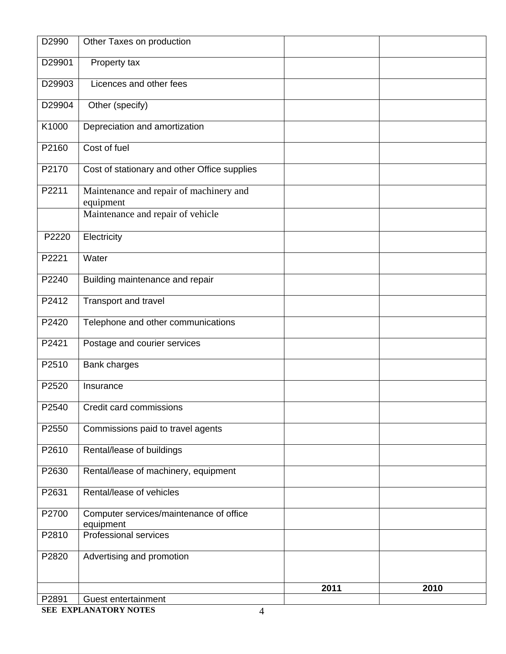| D2990  | Other Taxes on production                            |      |      |
|--------|------------------------------------------------------|------|------|
| D29901 | Property tax                                         |      |      |
| D29903 | Licences and other fees                              |      |      |
| D29904 | Other (specify)                                      |      |      |
| K1000  | Depreciation and amortization                        |      |      |
| P2160  | Cost of fuel                                         |      |      |
| P2170  | Cost of stationary and other Office supplies         |      |      |
| P2211  | Maintenance and repair of machinery and<br>equipment |      |      |
|        | Maintenance and repair of vehicle                    |      |      |
| P2220  | Electricity                                          |      |      |
| P2221  | Water                                                |      |      |
| P2240  | Building maintenance and repair                      |      |      |
| P2412  | Transport and travel                                 |      |      |
| P2420  | Telephone and other communications                   |      |      |
| P2421  | Postage and courier services                         |      |      |
| P2510  | <b>Bank charges</b>                                  |      |      |
| P2520  | Insurance                                            |      |      |
| P2540  | Credit card commissions                              |      |      |
| P2550  | Commissions paid to travel agents                    |      |      |
| P2610  | Rental/lease of buildings                            |      |      |
| P2630  | Rental/lease of machinery, equipment                 |      |      |
| P2631  | Rental/lease of vehicles                             |      |      |
| P2700  | Computer services/maintenance of office<br>equipment |      |      |
| P2810  | <b>Professional services</b>                         |      |      |
| P2820  | Advertising and promotion                            |      |      |
|        |                                                      | 2011 | 2010 |
| P2891  | Guest entertainment                                  |      |      |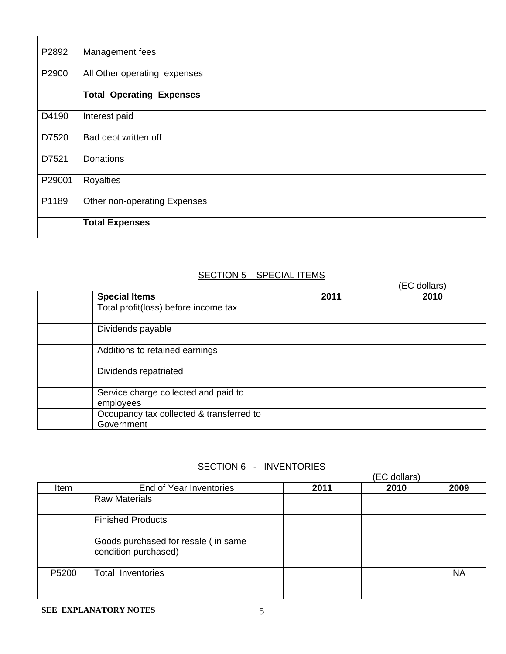| P2892  | Management fees                 |  |
|--------|---------------------------------|--|
| P2900  | All Other operating expenses    |  |
|        | <b>Total Operating Expenses</b> |  |
| D4190  | Interest paid                   |  |
| D7520  | Bad debt written off            |  |
| D7521  | Donations                       |  |
| P29001 | <b>Royalties</b>                |  |
| P1189  | Other non-operating Expenses    |  |
|        | <b>Total Expenses</b>           |  |

## SECTION 5 - SPECIAL ITEMS

|                                                        |      | (EC dollars) |
|--------------------------------------------------------|------|--------------|
| <b>Special Items</b>                                   | 2011 | 2010         |
| Total profit(loss) before income tax                   |      |              |
| Dividends payable                                      |      |              |
| Additions to retained earnings                         |      |              |
| Dividends repatriated                                  |      |              |
| Service charge collected and paid to<br>employees      |      |              |
| Occupancy tax collected & transferred to<br>Government |      |              |

# SECTION 6 - INVENTORIES

|       |                                                             |      | (EC dollars) |           |  |
|-------|-------------------------------------------------------------|------|--------------|-----------|--|
| Item  | End of Year Inventories                                     | 2011 | 2010         | 2009      |  |
|       | <b>Raw Materials</b>                                        |      |              |           |  |
|       | <b>Finished Products</b>                                    |      |              |           |  |
|       | Goods purchased for resale (in same<br>condition purchased) |      |              |           |  |
| P5200 | <b>Total Inventories</b>                                    |      |              | <b>NA</b> |  |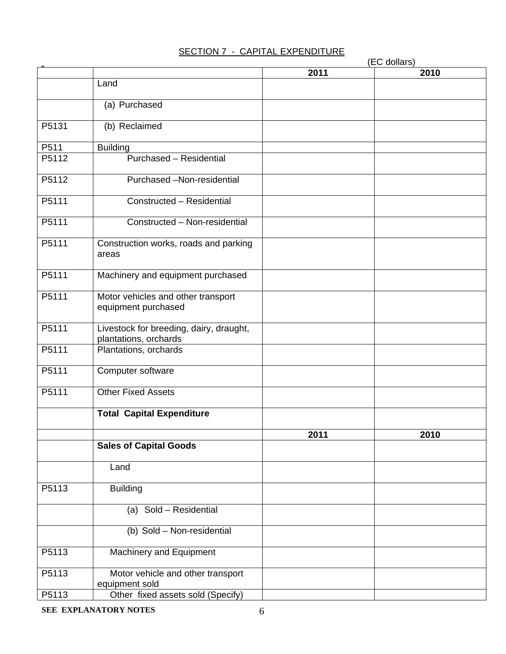## SECTION 7 - CAPITAL EXPENDITURE

|       |                                                                  |      | (EC dollars) |
|-------|------------------------------------------------------------------|------|--------------|
|       |                                                                  | 2011 | 2010         |
|       | Land                                                             |      |              |
|       | (a) Purchased                                                    |      |              |
| P5131 | (b) Reclaimed                                                    |      |              |
| P511  | <b>Building</b>                                                  |      |              |
| P5112 | Purchased - Residential                                          |      |              |
| P5112 | Purchased -Non-residential                                       |      |              |
| P5111 | Constructed - Residential                                        |      |              |
| P5111 | Constructed - Non-residential                                    |      |              |
| P5111 | Construction works, roads and parking<br>areas                   |      |              |
| P5111 | Machinery and equipment purchased                                |      |              |
| P5111 | Motor vehicles and other transport<br>equipment purchased        |      |              |
| P5111 | Livestock for breeding, dairy, draught,<br>plantations, orchards |      |              |
| P5111 | Plantations, orchards                                            |      |              |
| P5111 | Computer software                                                |      |              |
| P5111 | <b>Other Fixed Assets</b>                                        |      |              |
|       | <b>Total Capital Expenditure</b>                                 |      |              |
|       |                                                                  | 2011 | 2010         |
|       | <b>Sales of Capital Goods</b>                                    |      |              |
|       | Land                                                             |      |              |
| P5113 | <b>Building</b>                                                  |      |              |
|       | (a) Sold - Residential                                           |      |              |
|       | (b) Sold - Non-residential                                       |      |              |
| P5113 | <b>Machinery and Equipment</b>                                   |      |              |
| P5113 | Motor vehicle and other transport<br>equipment sold              |      |              |
| P5113 | Other fixed assets sold (Specify)                                |      |              |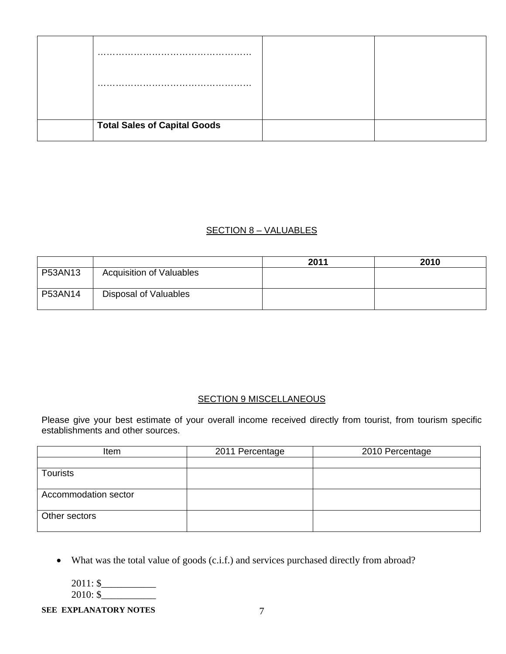| <b>Total Sales of Capital Goods</b> |  |
|-------------------------------------|--|

### SECTION 8 – VALUABLES

|         |                                 | 2011 | 2010 |
|---------|---------------------------------|------|------|
| P53AN13 | <b>Acquisition of Valuables</b> |      |      |
| P53AN14 | Disposal of Valuables           |      |      |

## **SECTION 9 MISCELLANEOUS**

Please give your best estimate of your overall income received directly from tourist, from tourism specific establishments and other sources.

| Item                 | 2011 Percentage | 2010 Percentage |
|----------------------|-----------------|-----------------|
|                      |                 |                 |
| <b>Tourists</b>      |                 |                 |
|                      |                 |                 |
| Accommodation sector |                 |                 |
|                      |                 |                 |
| Other sectors        |                 |                 |
|                      |                 |                 |

What was the total value of goods (c.i.f.) and services purchased directly from abroad?

2011: \$\_\_\_\_\_\_\_\_\_\_\_  $2010:$ \$

#### **SEE EXPLANATORY NOTES** 7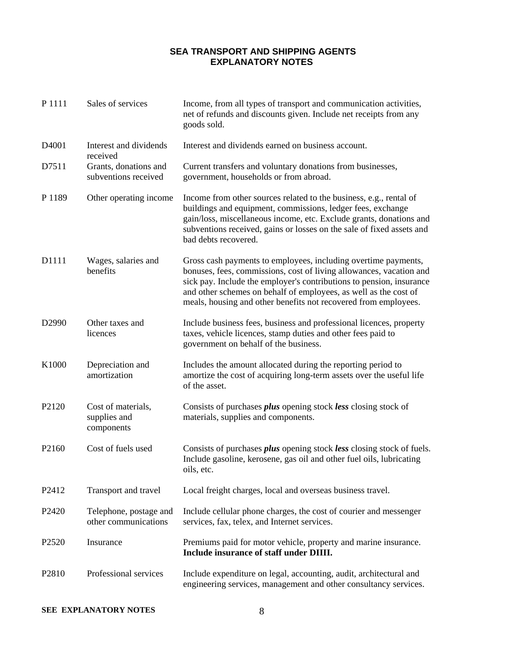### **SEA TRANSPORT AND SHIPPING AGENTS EXPLANATORY NOTES**

| P 1111            | Sales of services                                | Income, from all types of transport and communication activities,<br>net of refunds and discounts given. Include net receipts from any<br>goods sold.                                                                                                                                                                                                |
|-------------------|--------------------------------------------------|------------------------------------------------------------------------------------------------------------------------------------------------------------------------------------------------------------------------------------------------------------------------------------------------------------------------------------------------------|
| D <sub>4001</sub> | Interest and dividends<br>received               | Interest and dividends earned on business account.                                                                                                                                                                                                                                                                                                   |
| D7511             | Grants, donations and<br>subventions received    | Current transfers and voluntary donations from businesses,<br>government, households or from abroad.                                                                                                                                                                                                                                                 |
| P 1189            | Other operating income                           | Income from other sources related to the business, e.g., rental of<br>buildings and equipment, commissions, ledger fees, exchange<br>gain/loss, miscellaneous income, etc. Exclude grants, donations and<br>subventions received, gains or losses on the sale of fixed assets and<br>bad debts recovered.                                            |
| D1111             | Wages, salaries and<br>benefits                  | Gross cash payments to employees, including overtime payments,<br>bonuses, fees, commissions, cost of living allowances, vacation and<br>sick pay. Include the employer's contributions to pension, insurance<br>and other schemes on behalf of employees, as well as the cost of<br>meals, housing and other benefits not recovered from employees. |
| D2990             | Other taxes and<br>licences                      | Include business fees, business and professional licences, property<br>taxes, vehicle licences, stamp duties and other fees paid to<br>government on behalf of the business.                                                                                                                                                                         |
| K1000             | Depreciation and<br>amortization                 | Includes the amount allocated during the reporting period to<br>amortize the cost of acquiring long-term assets over the useful life<br>of the asset.                                                                                                                                                                                                |
| P2120             | Cost of materials,<br>supplies and<br>components | Consists of purchases <i>plus</i> opening stock less closing stock of<br>materials, supplies and components.                                                                                                                                                                                                                                         |
| P2160             | Cost of fuels used                               | Consists of purchases <i>plus</i> opening stock less closing stock of fuels.<br>Include gasoline, kerosene, gas oil and other fuel oils, lubricating<br>oils, etc.                                                                                                                                                                                   |
| P2412             | Transport and travel                             | Local freight charges, local and overseas business travel.                                                                                                                                                                                                                                                                                           |
| P <sub>2420</sub> | Telephone, postage and<br>other communications   | Include cellular phone charges, the cost of courier and messenger<br>services, fax, telex, and Internet services.                                                                                                                                                                                                                                    |
| P2520             | Insurance                                        | Premiums paid for motor vehicle, property and marine insurance.<br>Include insurance of staff under DIIII.                                                                                                                                                                                                                                           |
| P2810             | Professional services                            | Include expenditure on legal, accounting, audit, architectural and<br>engineering services, management and other consultancy services.                                                                                                                                                                                                               |